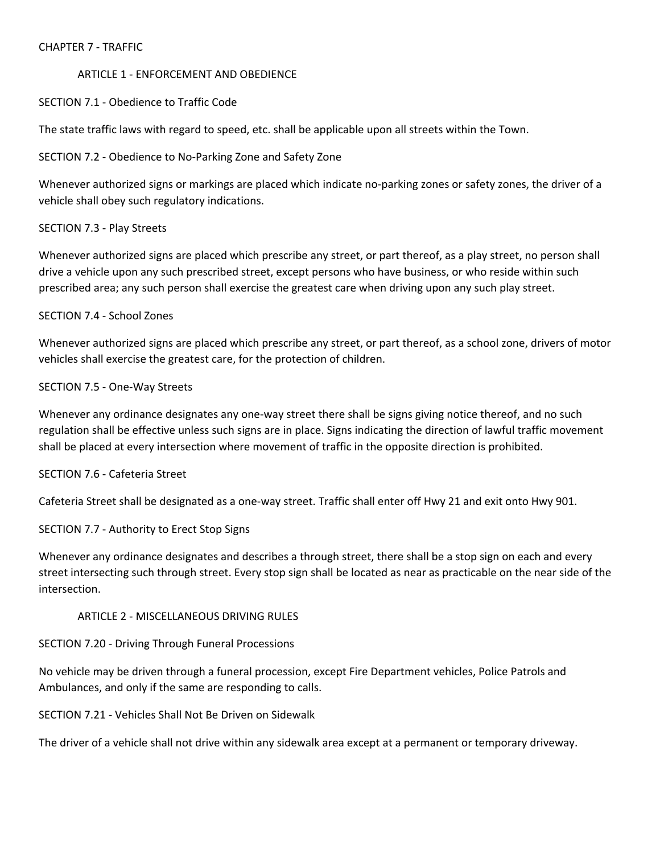## CHAPTER 7 - TRAFFIC

## ARTICLE 1 - ENFORCEMENT AND OBEDIENCE

## SECTION 7.1 - Obedience to Traffic Code

The state traffic laws with regard to speed, etc. shall be applicable upon all streets within the Town.

## SECTION 7.2 - Obedience to No-Parking Zone and Safety Zone

Whenever authorized signs or markings are placed which indicate no-parking zones or safety zones, the driver of a vehicle shall obey such regulatory indications.

## SECTION 7.3 - Play Streets

Whenever authorized signs are placed which prescribe any street, or part thereof, as a play street, no person shall drive a vehicle upon any such prescribed street, except persons who have business, or who reside within such prescribed area; any such person shall exercise the greatest care when driving upon any such play street.

## SECTION 7.4 - School Zones

Whenever authorized signs are placed which prescribe any street, or part thereof, as a school zone, drivers of motor vehicles shall exercise the greatest care, for the protection of children.

#### SECTION 7.5 - One-Way Streets

Whenever any ordinance designates any one-way street there shall be signs giving notice thereof, and no such regulation shall be effective unless such signs are in place. Signs indicating the direction of lawful traffic movement shall be placed at every intersection where movement of traffic in the opposite direction is prohibited.

#### SECTION 7.6 - Cafeteria Street

Cafeteria Street shall be designated as a one-way street. Traffic shall enter off Hwy 21 and exit onto Hwy 901.

SECTION 7.7 - Authority to Erect Stop Signs

Whenever any ordinance designates and describes a through street, there shall be a stop sign on each and every street intersecting such through street. Every stop sign shall be located as near as practicable on the near side of the intersection.

# ARTICLE 2 - MISCELLANEOUS DRIVING RULES

#### SECTION 7.20 - Driving Through Funeral Processions

No vehicle may be driven through a funeral procession, except Fire Department vehicles, Police Patrols and Ambulances, and only if the same are responding to calls.

#### SECTION 7.21 - Vehicles Shall Not Be Driven on Sidewalk

The driver of a vehicle shall not drive within any sidewalk area except at a permanent or temporary driveway.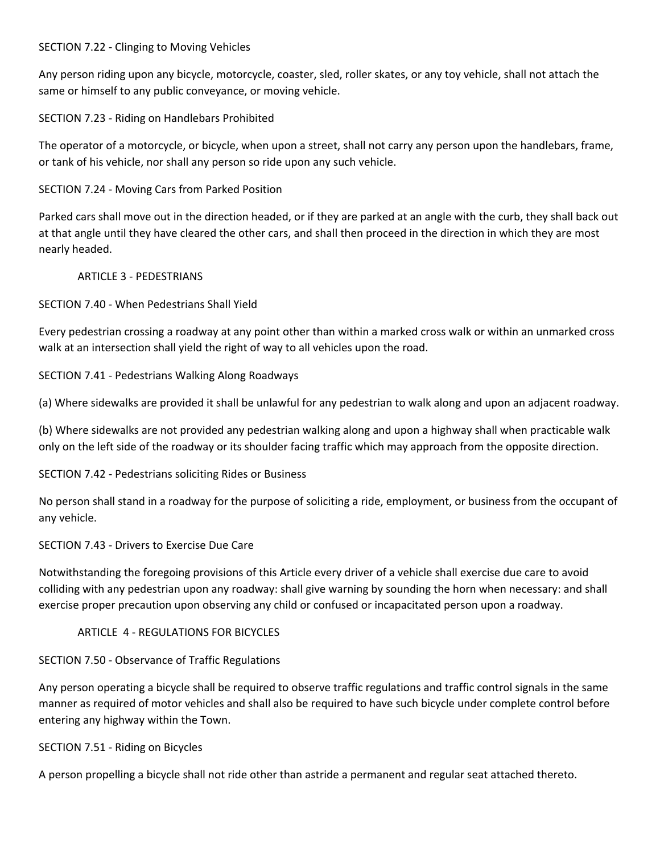## SECTION 7.22 - Clinging to Moving Vehicles

Any person riding upon any bicycle, motorcycle, coaster, sled, roller skates, or any toy vehicle, shall not attach the same or himself to any public conveyance, or moving vehicle.

SECTION 7.23 - Riding on Handlebars Prohibited

The operator of a motorcycle, or bicycle, when upon a street, shall not carry any person upon the handlebars, frame, or tank of his vehicle, nor shall any person so ride upon any such vehicle.

SECTION 7.24 - Moving Cars from Parked Position

Parked cars shall move out in the direction headed, or if they are parked at an angle with the curb, they shall back out at that angle until they have cleared the other cars, and shall then proceed in the direction in which they are most nearly headed.

ARTICLE 3 - PEDESTRIANS

SECTION 7.40 - When Pedestrians Shall Yield

Every pedestrian crossing a roadway at any point other than within a marked cross walk or within an unmarked cross walk at an intersection shall yield the right of way to all vehicles upon the road.

SECTION 7.41 - Pedestrians Walking Along Roadways

(a) Where sidewalks are provided it shall be unlawful for any pedestrian to walk along and upon an adjacent roadway.

(b) Where sidewalks are not provided any pedestrian walking along and upon a highway shall when practicable walk only on the left side of the roadway or its shoulder facing traffic which may approach from the opposite direction.

SECTION 7.42 - Pedestrians soliciting Rides or Business

No person shall stand in a roadway for the purpose of soliciting a ride, employment, or business from the occupant of any vehicle.

SECTION 7.43 - Drivers to Exercise Due Care

Notwithstanding the foregoing provisions of this Article every driver of a vehicle shall exercise due care to avoid colliding with any pedestrian upon any roadway: shall give warning by sounding the horn when necessary: and shall exercise proper precaution upon observing any child or confused or incapacitated person upon a roadway.

ARTICLE 4 - REGULATIONS FOR BICYCLES

SECTION 7.50 - Observance of Traffic Regulations

Any person operating a bicycle shall be required to observe traffic regulations and traffic control signals in the same manner as required of motor vehicles and shall also be required to have such bicycle under complete control before entering any highway within the Town.

SECTION 7.51 - Riding on Bicycles

A person propelling a bicycle shall not ride other than astride a permanent and regular seat attached thereto.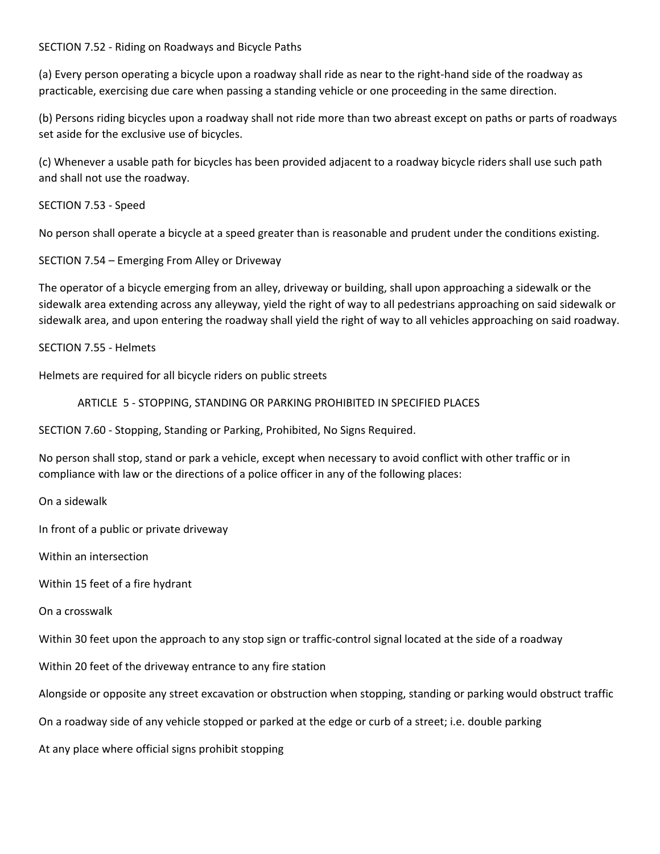### SECTION 7.52 - Riding on Roadways and Bicycle Paths

(a) Every person operating a bicycle upon a roadway shall ride as near to the right-hand side of the roadway as practicable, exercising due care when passing a standing vehicle or one proceeding in the same direction.

(b) Persons riding bicycles upon a roadway shall not ride more than two abreast except on paths or parts of roadways set aside for the exclusive use of bicycles.

(c) Whenever a usable path for bicycles has been provided adjacent to a roadway bicycle riders shall use such path and shall not use the roadway.

SECTION 7.53 - Speed

No person shall operate a bicycle at a speed greater than is reasonable and prudent under the conditions existing.

SECTION 7.54 – Emerging From Alley or Driveway

The operator of a bicycle emerging from an alley, driveway or building, shall upon approaching a sidewalk or the sidewalk area extending across any alleyway, yield the right of way to all pedestrians approaching on said sidewalk or sidewalk area, and upon entering the roadway shall yield the right of way to all vehicles approaching on said roadway.

SECTION 7.55 - Helmets

Helmets are required for all bicycle riders on public streets

ARTICLE 5 - STOPPING, STANDING OR PARKING PROHIBITED IN SPECIFIED PLACES

SECTION 7.60 - Stopping, Standing or Parking, Prohibited, No Signs Required.

No person shall stop, stand or park a vehicle, except when necessary to avoid conflict with other traffic or in compliance with law or the directions of a police officer in any of the following places:

On a sidewalk

In front of a public or private driveway

Within an intersection

Within 15 feet of a fire hydrant

On a crosswalk

Within 30 feet upon the approach to any stop sign or traffic-control signal located at the side of a roadway

Within 20 feet of the driveway entrance to any fire station

Alongside or opposite any street excavation or obstruction when stopping, standing or parking would obstruct traffic

On a roadway side of any vehicle stopped or parked at the edge or curb of a street; i.e. double parking

At any place where official signs prohibit stopping